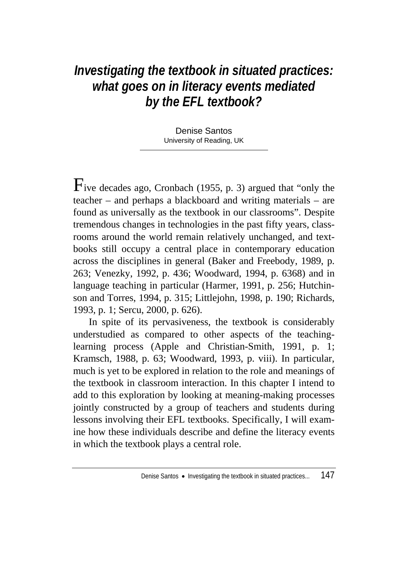# *Investigating the textbook in situated practices: what goes on in literacy events mediated by the EFL textbook?*

Denise Santos University of Reading, UK

Five decades ago, Cronbach (1955, p. 3) argued that "only the teacher – and perhaps a blackboard and writing materials – are found as universally as the textbook in our classrooms". Despite tremendous changes in technologies in the past fifty years, classrooms around the world remain relatively unchanged, and textbooks still occupy a central place in contemporary education across the disciplines in general (Baker and Freebody, 1989, p. 263; Venezky, 1992, p. 436; Woodward, 1994, p. 6368) and in language teaching in particular (Harmer, 1991, p. 256; Hutchinson and Torres, 1994, p. 315; Littlejohn, 1998, p. 190; Richards, 1993, p. 1; Sercu, 2000, p. 626).

In spite of its pervasiveness, the textbook is considerably understudied as compared to other aspects of the teachinglearning process (Apple and Christian-Smith, 1991, p. 1; Kramsch, 1988, p. 63; Woodward, 1993, p. viii). In particular, much is yet to be explored in relation to the role and meanings of the textbook in classroom interaction. In this chapter I intend to add to this exploration by looking at meaning-making processes jointly constructed by a group of teachers and students during lessons involving their EFL textbooks. Specifically, I will examine how these individuals describe and define the literacy events in which the textbook plays a central role.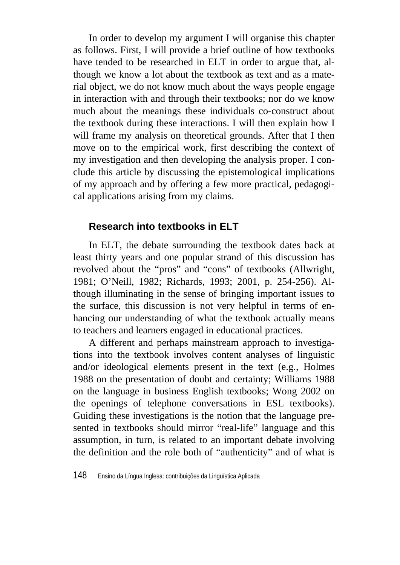In order to develop my argument I will organise this chapter as follows. First, I will provide a brief outline of how textbooks have tended to be researched in ELT in order to argue that, although we know a lot about the textbook as text and as a material object, we do not know much about the ways people engage in interaction with and through their textbooks; nor do we know much about the meanings these individuals co-construct about the textbook during these interactions. I will then explain how I will frame my analysis on theoretical grounds. After that I then move on to the empirical work, first describing the context of my investigation and then developing the analysis proper. I conclude this article by discussing the epistemological implications of my approach and by offering a few more practical, pedagogical applications arising from my claims.

### **Research into textbooks in ELT**

In ELT, the debate surrounding the textbook dates back at least thirty years and one popular strand of this discussion has revolved about the "pros" and "cons" of textbooks (Allwright, 1981; O'Neill, 1982; Richards, 1993; 2001, p. 254-256). Although illuminating in the sense of bringing important issues to the surface, this discussion is not very helpful in terms of enhancing our understanding of what the textbook actually means to teachers and learners engaged in educational practices.

A different and perhaps mainstream approach to investigations into the textbook involves content analyses of linguistic and/or ideological elements present in the text (e.g., Holmes 1988 on the presentation of doubt and certainty; Williams 1988 on the language in business English textbooks; Wong 2002 on the openings of telephone conversations in ESL textbooks). Guiding these investigations is the notion that the language presented in textbooks should mirror "real-life" language and this assumption, in turn, is related to an important debate involving the definition and the role both of "authenticity" and of what is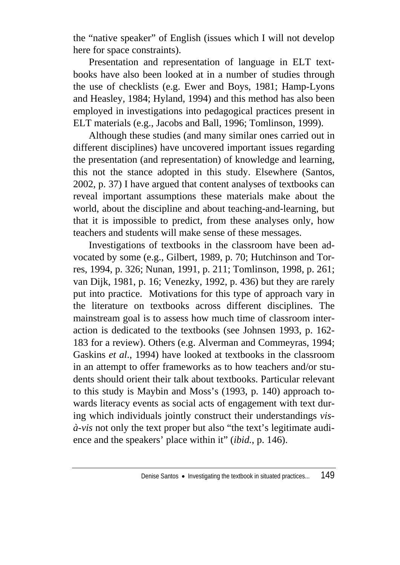the "native speaker" of English (issues which I will not develop here for space constraints).

Presentation and representation of language in ELT textbooks have also been looked at in a number of studies through the use of checklists (e.g. Ewer and Boys, 1981; Hamp-Lyons and Heasley, 1984; Hyland, 1994) and this method has also been employed in investigations into pedagogical practices present in ELT materials (e.g., Jacobs and Ball, 1996; Tomlinson, 1999).

Although these studies (and many similar ones carried out in different disciplines) have uncovered important issues regarding the presentation (and representation) of knowledge and learning, this not the stance adopted in this study. Elsewhere (Santos, 2002, p. 37) I have argued that content analyses of textbooks can reveal important assumptions these materials make about the world, about the discipline and about teaching-and-learning, but that it is impossible to predict, from these analyses only, how teachers and students will make sense of these messages.

Investigations of textbooks in the classroom have been advocated by some (e.g., Gilbert, 1989, p. 70; Hutchinson and Torres, 1994, p. 326; Nunan, 1991, p. 211; Tomlinson, 1998, p. 261; van Dijk, 1981, p. 16; Venezky, 1992, p. 436) but they are rarely put into practice. Motivations for this type of approach vary in the literature on textbooks across different disciplines. The mainstream goal is to assess how much time of classroom interaction is dedicated to the textbooks (see Johnsen 1993, p. 162- 183 for a review). Others (e.g. Alverman and Commeyras, 1994; Gaskins *et al*., 1994) have looked at textbooks in the classroom in an attempt to offer frameworks as to how teachers and/or students should orient their talk about textbooks. Particular relevant to this study is Maybin and Moss's (1993, p. 140) approach towards literacy events as social acts of engagement with text during which individuals jointly construct their understandings *visà-vis* not only the text proper but also "the text's legitimate audience and the speakers' place within it" (*ibid.*, p. 146).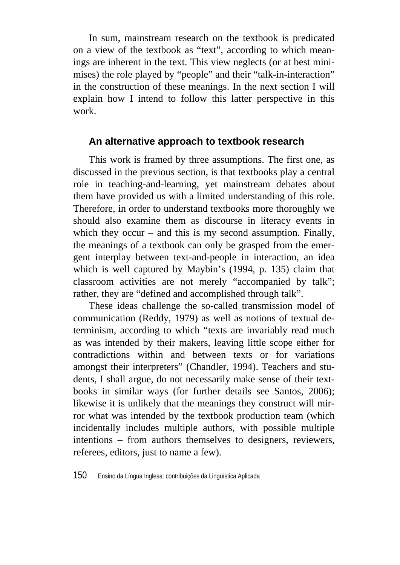In sum, mainstream research on the textbook is predicated on a view of the textbook as "text", according to which meanings are inherent in the text. This view neglects (or at best minimises) the role played by "people" and their "talk-in-interaction" in the construction of these meanings. In the next section I will explain how I intend to follow this latter perspective in this work.

### **An alternative approach to textbook research**

This work is framed by three assumptions. The first one, as discussed in the previous section, is that textbooks play a central role in teaching-and-learning, yet mainstream debates about them have provided us with a limited understanding of this role. Therefore, in order to understand textbooks more thoroughly we should also examine them as discourse in literacy events in which they occur – and this is my second assumption. Finally, the meanings of a textbook can only be grasped from the emergent interplay between text-and-people in interaction, an idea which is well captured by Maybin's (1994, p. 135) claim that classroom activities are not merely "accompanied by talk"; rather, they are "defined and accomplished through talk".

These ideas challenge the so-called transmission model of communication (Reddy, 1979) as well as notions of textual determinism, according to which "texts are invariably read much as was intended by their makers, leaving little scope either for contradictions within and between texts or for variations amongst their interpreters" (Chandler, 1994). Teachers and students, I shall argue, do not necessarily make sense of their textbooks in similar ways (for further details see Santos, 2006); likewise it is unlikely that the meanings they construct will mirror what was intended by the textbook production team (which incidentally includes multiple authors, with possible multiple intentions – from authors themselves to designers, reviewers, referees, editors, just to name a few).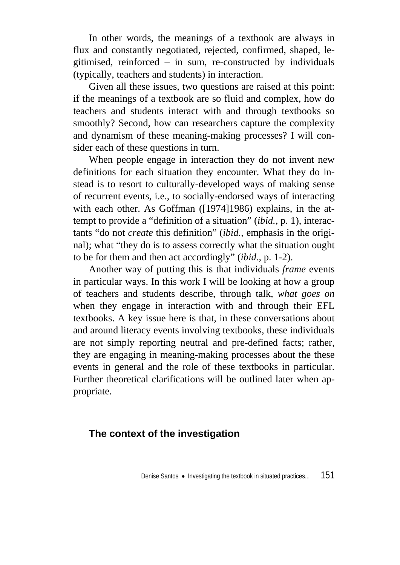In other words, the meanings of a textbook are always in flux and constantly negotiated, rejected, confirmed, shaped, legitimised, reinforced – in sum, re-constructed by individuals (typically, teachers and students) in interaction.

Given all these issues, two questions are raised at this point: if the meanings of a textbook are so fluid and complex, how do teachers and students interact with and through textbooks so smoothly? Second, how can researchers capture the complexity and dynamism of these meaning-making processes? I will consider each of these questions in turn.

When people engage in interaction they do not invent new definitions for each situation they encounter. What they do instead is to resort to culturally-developed ways of making sense of recurrent events, i.e., to socially-endorsed ways of interacting with each other. As Goffman ([1974]1986) explains, in the attempt to provide a "definition of a situation" (*ibid.*, p. 1), interactants "do not *create* this definition" (*ibid.*, emphasis in the original); what "they do is to assess correctly what the situation ought to be for them and then act accordingly" (*ibid.*, p. 1-2).

Another way of putting this is that individuals *frame* events in particular ways. In this work I will be looking at how a group of teachers and students describe, through talk, *what goes on* when they engage in interaction with and through their EFL textbooks. A key issue here is that, in these conversations about and around literacy events involving textbooks, these individuals are not simply reporting neutral and pre-defined facts; rather, they are engaging in meaning-making processes about the these events in general and the role of these textbooks in particular. Further theoretical clarifications will be outlined later when appropriate.

### **The context of the investigation**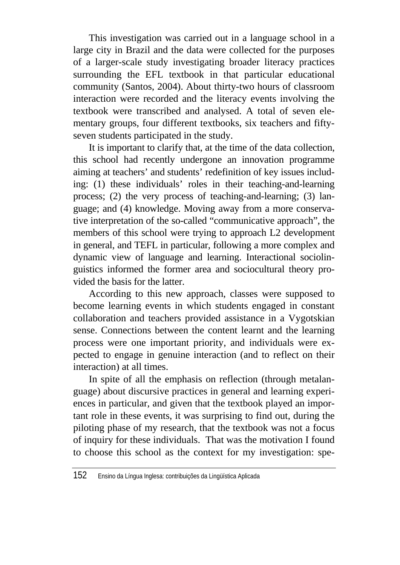This investigation was carried out in a language school in a large city in Brazil and the data were collected for the purposes of a larger-scale study investigating broader literacy practices surrounding the EFL textbook in that particular educational community (Santos, 2004). About thirty-two hours of classroom interaction were recorded and the literacy events involving the textbook were transcribed and analysed. A total of seven elementary groups, four different textbooks, six teachers and fiftyseven students participated in the study.

It is important to clarify that, at the time of the data collection, this school had recently undergone an innovation programme aiming at teachers' and students' redefinition of key issues including: (1) these individuals' roles in their teaching-and-learning process; (2) the very process of teaching-and-learning; (3) language; and (4) knowledge. Moving away from a more conservative interpretation of the so-called "communicative approach", the members of this school were trying to approach L2 development in general, and TEFL in particular, following a more complex and dynamic view of language and learning. Interactional sociolinguistics informed the former area and sociocultural theory provided the basis for the latter.

According to this new approach, classes were supposed to become learning events in which students engaged in constant collaboration and teachers provided assistance in a Vygotskian sense. Connections between the content learnt and the learning process were one important priority, and individuals were expected to engage in genuine interaction (and to reflect on their interaction) at all times.

In spite of all the emphasis on reflection (through metalanguage) about discursive practices in general and learning experiences in particular, and given that the textbook played an important role in these events, it was surprising to find out, during the piloting phase of my research, that the textbook was not a focus of inquiry for these individuals. That was the motivation I found to choose this school as the context for my investigation: spe-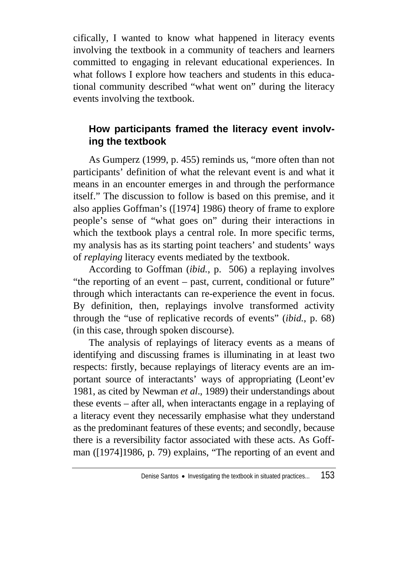cifically, I wanted to know what happened in literacy events involving the textbook in a community of teachers and learners committed to engaging in relevant educational experiences. In what follows I explore how teachers and students in this educational community described "what went on" during the literacy events involving the textbook.

# **How participants framed the literacy event involving the textbook**

As Gumperz (1999, p. 455) reminds us, "more often than not participants' definition of what the relevant event is and what it means in an encounter emerges in and through the performance itself." The discussion to follow is based on this premise, and it also applies Goffman's ([1974] 1986) theory of frame to explore people's sense of "what goes on" during their interactions in which the textbook plays a central role. In more specific terms, my analysis has as its starting point teachers' and students' ways of *replaying* literacy events mediated by the textbook.

According to Goffman (*ibid.*, p. 506) a replaying involves "the reporting of an event – past, current, conditional or future" through which interactants can re-experience the event in focus. By definition, then, replayings involve transformed activity through the "use of replicative records of events" (*ibid.*, p. 68) (in this case, through spoken discourse).

The analysis of replayings of literacy events as a means of identifying and discussing frames is illuminating in at least two respects: firstly, because replayings of literacy events are an important source of interactants' ways of appropriating (Leont'ev 1981, as cited by Newman *et al*., 1989) their understandings about these events – after all, when interactants engage in a replaying of a literacy event they necessarily emphasise what they understand as the predominant features of these events; and secondly, because there is a reversibility factor associated with these acts. As Goffman ([1974]1986, p. 79) explains, "The reporting of an event and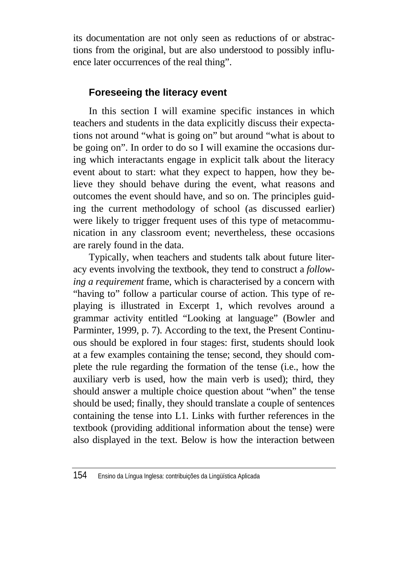its documentation are not only seen as reductions of or abstractions from the original, but are also understood to possibly influence later occurrences of the real thing".

## **Foreseeing the literacy event**

In this section I will examine specific instances in which teachers and students in the data explicitly discuss their expectations not around "what is going on" but around "what is about to be going on". In order to do so I will examine the occasions during which interactants engage in explicit talk about the literacy event about to start: what they expect to happen, how they believe they should behave during the event, what reasons and outcomes the event should have, and so on. The principles guiding the current methodology of school (as discussed earlier) were likely to trigger frequent uses of this type of metacommunication in any classroom event; nevertheless, these occasions are rarely found in the data.

Typically, when teachers and students talk about future literacy events involving the textbook, they tend to construct a *following a requirement* frame, which is characterised by a concern with "having to" follow a particular course of action. This type of replaying is illustrated in Excerpt 1, which revolves around a grammar activity entitled "Looking at language" (Bowler and Parminter, 1999, p. 7). According to the text, the Present Continuous should be explored in four stages: first, students should look at a few examples containing the tense; second, they should complete the rule regarding the formation of the tense (i.e., how the auxiliary verb is used, how the main verb is used); third, they should answer a multiple choice question about "when" the tense should be used; finally, they should translate a couple of sentences containing the tense into L1. Links with further references in the textbook (providing additional information about the tense) were also displayed in the text. Below is how the interaction between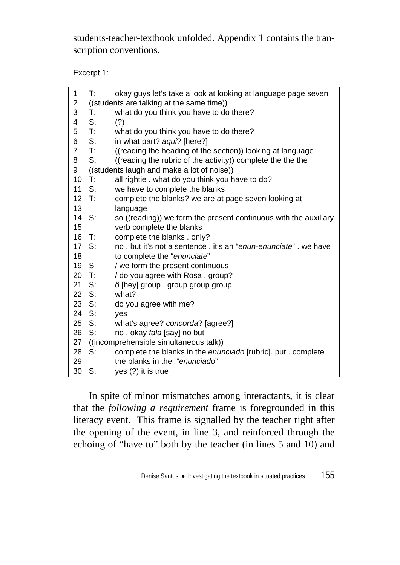students-teacher-textbook unfolded. Appendix 1 contains the transcription conventions.

Excerpt 1:

| 1                 | T:             | okay guys let's take a look at looking at language page seven    |
|-------------------|----------------|------------------------------------------------------------------|
| $\overline{2}$    |                | ((students are talking at the same time))                        |
| 3                 | T:             | what do you think you have to do there?                          |
| 4                 | S:             | (?)                                                              |
| 5                 | $\mathsf{T}$ : | what do you think you have to do there?                          |
| 6                 | S:             | in what part? aqui? [here?]                                      |
| $\overline{7}$    | T:             | ((reading the heading of the section)) looking at language       |
| 8                 | S:             | ((reading the rubric of the activity)) complete the the the      |
| 9                 |                | ((students laugh and make a lot of noise))                       |
| 10                | $\top$ :       | all rightie . what do you think you have to do?                  |
| 11                | S:             | we have to complete the blanks                                   |
| $12 \overline{ }$ | T:             | complete the blanks? we are at page seven looking at             |
| 13                |                | language                                                         |
| 14                | S:             | so ((reading)) we form the present continuous with the auxiliary |
| 15                |                | verb complete the blanks                                         |
| 16                | $\mathsf{T}$ : | complete the blanks . only?                                      |
| 17                | -S:            | no, but it's not a sentence, it's an "enun-enunciate", we have   |
| 18                |                | to complete the "enunciate"                                      |
| 19                | S              | we form the present continuous                                   |
| 20                | $\top$ :       | / do you agree with Rosa. group?                                 |
| 21                | S:             | ô [hey] group . group group group                                |
| 22 S:             |                | what?                                                            |
| 23 S:             |                | do you agree with me?                                            |
| 24                | S:             | ves                                                              |
| 25 S:             |                | what's agree? concorda? [agree?]                                 |
| 26                | S:             | no. okay fala [say] no but                                       |
| 27                |                | ((incomprehensible simultaneous talk))                           |
| 28                | S:             | complete the blanks in the enunciado [rubric]. put . complete    |
| 29                |                | the blanks in the "enunciado"                                    |
| 30                | S:             | yes (?) it is true                                               |

In spite of minor mismatches among interactants, it is clear that the *following a requirement* frame is foregrounded in this literacy event. This frame is signalled by the teacher right after the opening of the event, in line 3, and reinforced through the echoing of "have to" both by the teacher (in lines 5 and 10) and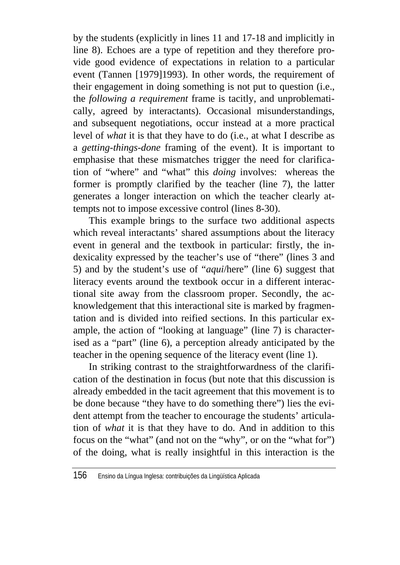by the students (explicitly in lines 11 and 17-18 and implicitly in line 8). Echoes are a type of repetition and they therefore provide good evidence of expectations in relation to a particular event (Tannen [1979]1993). In other words, the requirement of their engagement in doing something is not put to question (i.e., the *following a requirement* frame is tacitly, and unproblematically, agreed by interactants). Occasional misunderstandings, and subsequent negotiations, occur instead at a more practical level of *what* it is that they have to do (i.e., at what I describe as a *getting-things-done* framing of the event). It is important to emphasise that these mismatches trigger the need for clarification of "where" and "what" this *doing* involves: whereas the former is promptly clarified by the teacher (line 7), the latter generates a longer interaction on which the teacher clearly attempts not to impose excessive control (lines 8-30).

This example brings to the surface two additional aspects which reveal interactants' shared assumptions about the literacy event in general and the textbook in particular: firstly, the indexicality expressed by the teacher's use of "there" (lines 3 and 5) and by the student's use of "*aqui*/here" (line 6) suggest that literacy events around the textbook occur in a different interactional site away from the classroom proper. Secondly, the acknowledgement that this interactional site is marked by fragmentation and is divided into reified sections. In this particular example, the action of "looking at language" (line 7) is characterised as a "part" (line 6), a perception already anticipated by the teacher in the opening sequence of the literacy event (line 1).

In striking contrast to the straightforwardness of the clarification of the destination in focus (but note that this discussion is already embedded in the tacit agreement that this movement is to be done because "they have to do something there") lies the evident attempt from the teacher to encourage the students' articulation of *what* it is that they have to do. And in addition to this focus on the "what" (and not on the "why", or on the "what for") of the doing, what is really insightful in this interaction is the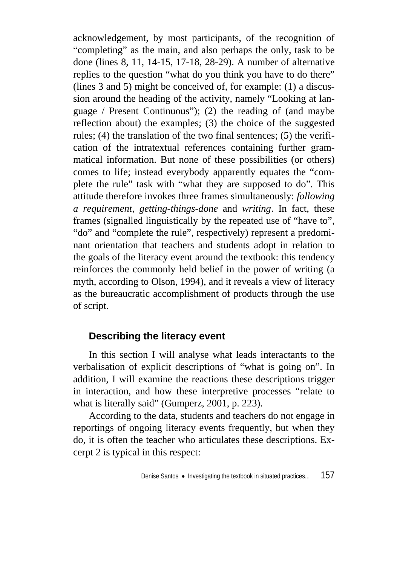acknowledgement, by most participants, of the recognition of "completing" as the main, and also perhaps the only, task to be done (lines 8, 11, 14-15, 17-18, 28-29). A number of alternative replies to the question "what do you think you have to do there" (lines 3 and 5) might be conceived of, for example: (1) a discussion around the heading of the activity, namely "Looking at language / Present Continuous"); (2) the reading of (and maybe reflection about) the examples; (3) the choice of the suggested rules; (4) the translation of the two final sentences; (5) the verification of the intratextual references containing further grammatical information. But none of these possibilities (or others) comes to life; instead everybody apparently equates the "complete the rule" task with "what they are supposed to do". This attitude therefore invokes three frames simultaneously: *following a requirement*, *getting-things-done* and *writing*. In fact, these frames (signalled linguistically by the repeated use of "have to", "do" and "complete the rule", respectively) represent a predominant orientation that teachers and students adopt in relation to the goals of the literacy event around the textbook: this tendency reinforces the commonly held belief in the power of writing (a myth, according to Olson, 1994), and it reveals a view of literacy as the bureaucratic accomplishment of products through the use of script.

### **Describing the literacy event**

In this section I will analyse what leads interactants to the verbalisation of explicit descriptions of "what is going on". In addition, I will examine the reactions these descriptions trigger in interaction, and how these interpretive processes "relate to what is literally said" (Gumperz, 2001, p. 223).

According to the data, students and teachers do not engage in reportings of ongoing literacy events frequently, but when they do, it is often the teacher who articulates these descriptions. Excerpt 2 is typical in this respect: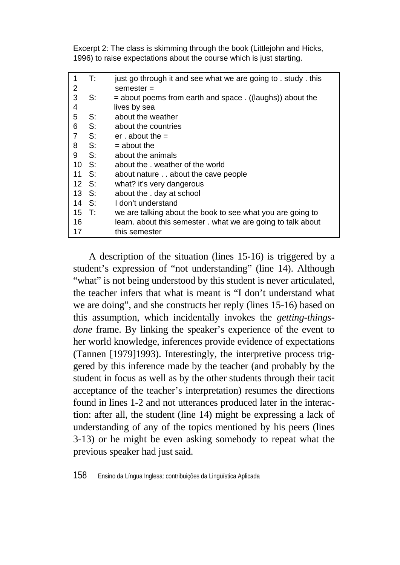Excerpt 2: The class is skimming through the book (Littlejohn and Hicks, 1996) to raise expectations about the course which is just starting.

| 1     | T:    | just go through it and see what we are going to . study . this |
|-------|-------|----------------------------------------------------------------|
| 2     |       | semester $=$                                                   |
| 3     | S:    | = about poems from earth and space . ((laughs)) about the      |
| 4     |       | lives by sea                                                   |
| 5     | S:    | about the weather                                              |
| 6     | S:    | about the countries                                            |
| 7     | S:    | er about the $=$                                               |
| 8     | S:    | $=$ about the                                                  |
| 9     | S:    | about the animals                                              |
| 10    | - S:  | about the weather of the world                                 |
| 11    | -S:   | about nature about the cave people                             |
|       | 12 S: | what? it's very dangerous                                      |
| 13 S. |       | about the . day at school                                      |
| 14 S: |       | I don't understand                                             |
| 15 T: |       | we are talking about the book to see what you are going to     |
| 16    |       | learn. about this semester . what we are going to talk about   |
| 17    |       | this semester                                                  |

A description of the situation (lines 15-16) is triggered by a student's expression of "not understanding" (line 14). Although "what" is not being understood by this student is never articulated, the teacher infers that what is meant is "I don't understand what we are doing", and she constructs her reply (lines 15-16) based on this assumption, which incidentally invokes the *getting-thingsdone* frame. By linking the speaker's experience of the event to her world knowledge, inferences provide evidence of expectations (Tannen [1979]1993). Interestingly, the interpretive process triggered by this inference made by the teacher (and probably by the student in focus as well as by the other students through their tacit acceptance of the teacher's interpretation) resumes the directions found in lines 1-2 and not utterances produced later in the interaction: after all, the student (line 14) might be expressing a lack of understanding of any of the topics mentioned by his peers (lines 3-13) or he might be even asking somebody to repeat what the previous speaker had just said.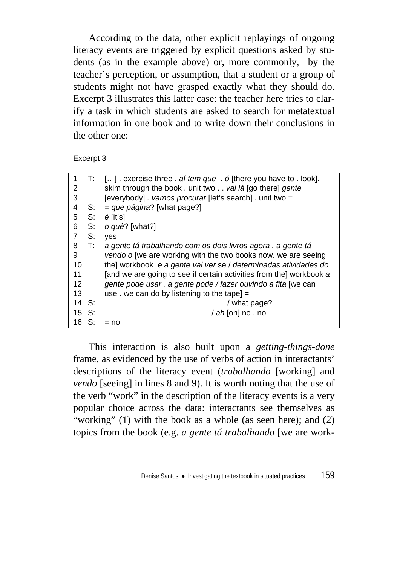According to the data, other explicit replayings of ongoing literacy events are triggered by explicit questions asked by students (as in the example above) or, more commonly, by the teacher's perception, or assumption, that a student or a group of students might not have grasped exactly what they should do. Excerpt 3 illustrates this latter case: the teacher here tries to clarify a task in which students are asked to search for metatextual information in one book and to write down their conclusions in the other one:

Excerpt 3

| 1     | T:             | $[]$ . exercise three . aí tem que . ó [there you have to . look].  |
|-------|----------------|---------------------------------------------------------------------|
| 2     |                | skim through the book. unit two vai lá [go there] gente             |
| 3     |                | [everybody] . vamos procurar [let's search] . unit two =            |
| 4     | S:             | $=$ que página? [what page?]                                        |
| 5     | S:             | $\acute{e}$ [it's]                                                  |
| 6     | S:             | o quê? [what?]                                                      |
| 7     | S:             | ves                                                                 |
| 8     | $\mathsf{T}$ : | a gente tá trabalhando com os dois livros agora. a gente tá         |
| 9     |                | vendo o [we are working with the two books now. we are seeing       |
| 10    |                | the] workbook e a gente vai ver se / determinadas atividades do     |
| 11    |                | [and we are going to see if certain activities from the] workbook a |
| 12    |                | gente pode usar . a gente pode / fazer ouvindo a fita [we can       |
| 13    |                | use . we can do by listening to the tape] $=$                       |
| 14    | S:             | / what page?                                                        |
| 15 S: |                | / ah [oh] no . no                                                   |
| 16 S: |                | $=$ no                                                              |

This interaction is also built upon a *getting-things-done* frame, as evidenced by the use of verbs of action in interactants' descriptions of the literacy event (*trabalhando* [working] and *vendo* [seeing] in lines 8 and 9). It is worth noting that the use of the verb "work" in the description of the literacy events is a very popular choice across the data: interactants see themselves as "working" (1) with the book as a whole (as seen here); and (2) topics from the book (e.g. *a gente tá trabalhando* [we are work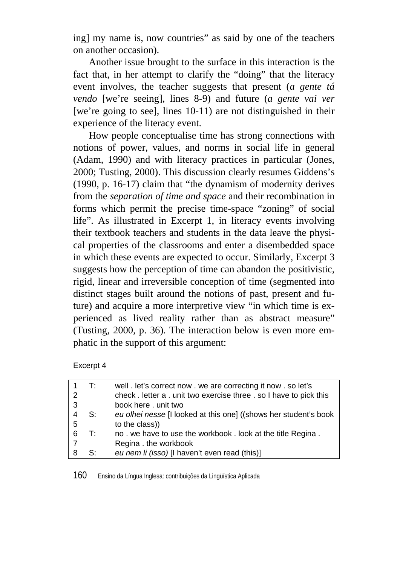ing] my name is, now countries" as said by one of the teachers on another occasion).

Another issue brought to the surface in this interaction is the fact that, in her attempt to clarify the "doing" that the literacy event involves, the teacher suggests that present (*a gente tá vendo* [we're seeing], lines 8-9) and future (*a gente vai ver* [we're going to see], lines 10-11) are not distinguished in their experience of the literacy event.

How people conceptualise time has strong connections with notions of power, values, and norms in social life in general (Adam, 1990) and with literacy practices in particular (Jones, 2000; Tusting, 2000). This discussion clearly resumes Giddens's (1990, p. 16-17) claim that "the dynamism of modernity derives from the *separation of time and space* and their recombination in forms which permit the precise time-space "zoning" of social life". As illustrated in Excerpt 1, in literacy events involving their textbook teachers and students in the data leave the physical properties of the classrooms and enter a disembedded space in which these events are expected to occur. Similarly, Excerpt 3 suggests how the perception of time can abandon the positivistic, rigid, linear and irreversible conception of time (segmented into distinct stages built around the notions of past, present and future) and acquire a more interpretive view "in which time is experienced as lived reality rather than as abstract measure" (Tusting, 2000, p. 36). The interaction below is even more emphatic in the support of this argument:

Excerpt 4

|               | т٠ | well . let's correct now . we are correcting it now . so let's     |
|---------------|----|--------------------------------------------------------------------|
| $\mathcal{P}$ |    | check. letter a . unit two exercise three . so I have to pick this |
| 3             |    | book here, unit two                                                |
|               | S: | eu olhei nesse [I looked at this one] ((shows her student's book   |
| 5             |    | to the class)                                                      |
| 6             | T: | no. we have to use the workbook. look at the title Regina.         |
| 7             |    | Regina . the workbook                                              |
| 8             | S: | eu nem li (isso) [I haven't even read (this)]                      |
|               |    |                                                                    |

160 Ensino da Língua Inglesa: contribuições da Lingüística Aplicada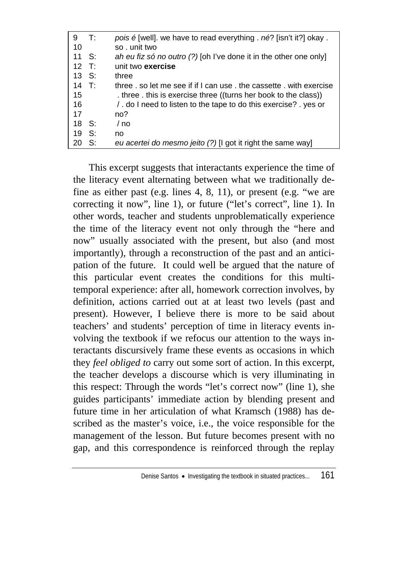| 9      | $\mathsf{T}$ : | pois é [well], we have to read everything, né? [isn't it?] okay.  |
|--------|----------------|-------------------------------------------------------------------|
| 10     |                | so. unit two                                                      |
| 11     | - S:           | ah eu fiz só no outro (?) [oh I've done it in the other one only] |
| $12$ T |                | unit two exercise                                                 |
| 13 S:  |                | three                                                             |
| 14 T:  |                | three, so let me see if if I can use, the cassette, with exercise |
| 15     |                | three this is exercise three ((turns her book to the class))      |
| 16     |                | . do I need to listen to the tape to do this exercise? yes or     |
| 17     |                | no?                                                               |
| 18     | - S:           | / no                                                              |
| 19     | S:             | no                                                                |
| 20     | S:             | eu acertei do mesmo jeito (?) [I got it right the same way]       |
|        |                |                                                                   |

This excerpt suggests that interactants experience the time of the literacy event alternating between what we traditionally define as either past (e.g. lines 4, 8, 11), or present (e.g. "we are correcting it now", line 1), or future ("let's correct", line 1). In other words, teacher and students unproblematically experience the time of the literacy event not only through the "here and now" usually associated with the present, but also (and most importantly), through a reconstruction of the past and an anticipation of the future. It could well be argued that the nature of this particular event creates the conditions for this multitemporal experience: after all, homework correction involves, by definition, actions carried out at at least two levels (past and present). However, I believe there is more to be said about teachers' and students' perception of time in literacy events involving the textbook if we refocus our attention to the ways interactants discursively frame these events as occasions in which they *feel obliged to* carry out some sort of action. In this excerpt, the teacher develops a discourse which is very illuminating in this respect: Through the words "let's correct now" (line 1), she guides participants' immediate action by blending present and future time in her articulation of what Kramsch (1988) has described as the master's voice, i.e., the voice responsible for the management of the lesson. But future becomes present with no gap, and this correspondence is reinforced through the replay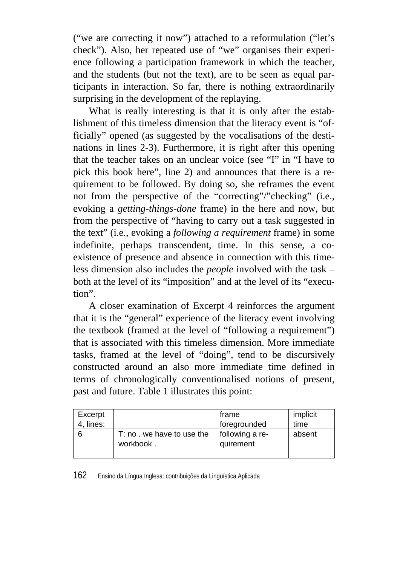("we are correcting it now") attached to a reformulation ("let's check"). Also, her repeated use of "we" organises their experience following a participation framework in which the teacher, and the students (but not the text), are to be seen as equal participants in interaction. So far, there is nothing extraordinarily surprising in the development of the replaying.

What is really interesting is that it is only after the establishment of this timeless dimension that the literacy event is "officially" opened (as suggested by the vocalisations of the destinations in lines 2-3). Furthermore, it is right after this opening that the teacher takes on an unclear voice (see "I" in "I have to pick this book here", line 2) and announces that there is a requirement to be followed. By doing so, she reframes the event not from the perspective of the "correcting"/"checking" (i.e., evoking a *getting-things-done* frame) in the here and now, but from the perspective of "having to carry out a task suggested in the text" (i.e., evoking a *following a requirement* frame) in some indefinite, perhaps transcendent, time. In this sense, a coexistence of presence and absence in connection with this timeless dimension also includes the *people* involved with the task – both at the level of its "imposition" and at the level of its "execution".

A closer examination of Excerpt 4 reinforces the argument that it is the "general" experience of the literacy event involving the textbook (framed at the level of "following a requirement") that is associated with this timeless dimension. More immediate tasks, framed at the level of "doing", tend to be discursively constructed around an also more immediate time defined in terms of chronologically conventionalised notions of present, past and future. Table 1 illustrates this point:

| Excerpt |                                         | frame                        | implicit |
|---------|-----------------------------------------|------------------------------|----------|
| lines:  |                                         | foregrounded                 | time     |
|         | T: no . we have to use the<br>workbook. | following a re-<br>quirement | absent   |

162 Ensino da Língua Inglesa: contribuições da Lingüística Aplicada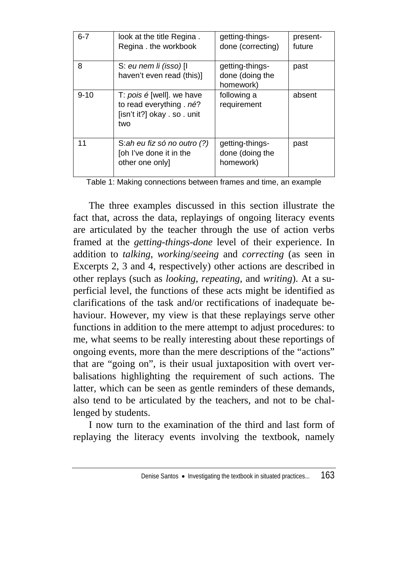| $6 - 7$  | look at the title Regina.<br>Regina . the workbook                                           | getting-things-<br>done (correcting)            | present-<br>future |
|----------|----------------------------------------------------------------------------------------------|-------------------------------------------------|--------------------|
| 8        | S: eu nem li (isso) [I<br>haven't even read (this)]                                          | getting-things-<br>done (doing the<br>homework) | past               |
| $9 - 10$ | T: pois é [well]. we have<br>to read everything . né?<br>[isn't it?] okay . so . unit<br>two | following a<br>requirement                      | absent             |
| 11       | S:ah eu fiz só no outro (?)<br>[oh I've done it in the<br>other one only]                    | getting-things-<br>done (doing the<br>homework) | past               |

Table 1: Making connections between frames and time, an example

The three examples discussed in this section illustrate the fact that, across the data, replayings of ongoing literacy events are articulated by the teacher through the use of action verbs framed at the *getting-things-done* level of their experience. In addition to *talking*, *working*/*seeing* and *correcting* (as seen in Excerpts 2, 3 and 4, respectively) other actions are described in other replays (such as *looking*, *repeating*, and *writing*). At a superficial level, the functions of these acts might be identified as clarifications of the task and/or rectifications of inadequate behaviour. However, my view is that these replayings serve other functions in addition to the mere attempt to adjust procedures: to me, what seems to be really interesting about these reportings of ongoing events, more than the mere descriptions of the "actions" that are "going on", is their usual juxtaposition with overt verbalisations highlighting the requirement of such actions. The latter, which can be seen as gentle reminders of these demands, also tend to be articulated by the teachers, and not to be challenged by students.

I now turn to the examination of the third and last form of replaying the literacy events involving the textbook, namely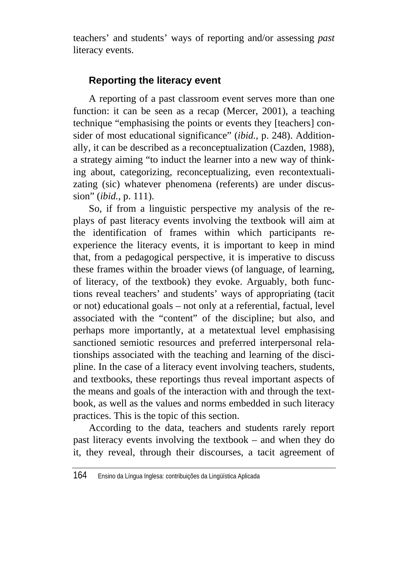teachers' and students' ways of reporting and/or assessing *past* literacy events.

# **Reporting the literacy event**

A reporting of a past classroom event serves more than one function: it can be seen as a recap (Mercer, 2001), a teaching technique "emphasising the points or events they [teachers] consider of most educational significance" (*ibid.*, p. 248). Additionally, it can be described as a reconceptualization (Cazden, 1988), a strategy aiming "to induct the learner into a new way of thinking about, categorizing, reconceptualizing, even recontextualizating (sic) whatever phenomena (referents) are under discussion" (*ibid.*, p. 111).

So, if from a linguistic perspective my analysis of the replays of past literacy events involving the textbook will aim at the identification of frames within which participants reexperience the literacy events, it is important to keep in mind that, from a pedagogical perspective, it is imperative to discuss these frames within the broader views (of language, of learning, of literacy, of the textbook) they evoke. Arguably, both functions reveal teachers' and students' ways of appropriating (tacit or not) educational goals – not only at a referential, factual, level associated with the "content" of the discipline; but also, and perhaps more importantly, at a metatextual level emphasising sanctioned semiotic resources and preferred interpersonal relationships associated with the teaching and learning of the discipline. In the case of a literacy event involving teachers, students, and textbooks, these reportings thus reveal important aspects of the means and goals of the interaction with and through the textbook, as well as the values and norms embedded in such literacy practices. This is the topic of this section.

According to the data, teachers and students rarely report past literacy events involving the textbook – and when they do it, they reveal, through their discourses, a tacit agreement of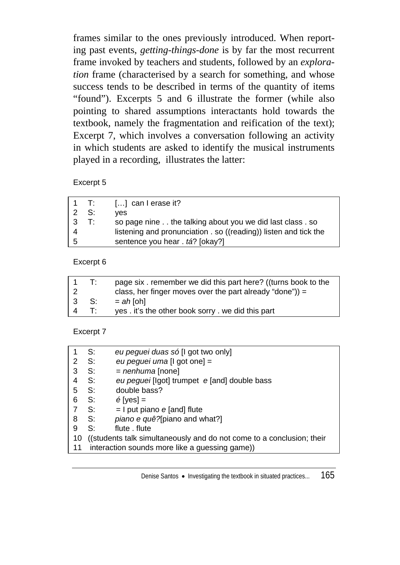frames similar to the ones previously introduced. When reporting past events, *getting-things-done* is by far the most recurrent frame invoked by teachers and students, followed by an *exploration* frame (characterised by a search for something, and whose success tends to be described in terms of the quantity of items "found"). Excerpts 5 and 6 illustrate the former (while also pointing to shared assumptions interactants hold towards the textbook, namely the fragmentation and reification of the text); Excerpt 7, which involves a conversation following an activity in which students are asked to identify the musical instruments played in a recording, illustrates the latter:

### Excerpt 5

|   | $1$ T:         | $\left[ \ldots \right]$ can I erase it?                          |
|---|----------------|------------------------------------------------------------------|
|   | $2 \quad S$    | ves                                                              |
| 3 | $\mathsf{T}$ : | so page nine the talking about you we did last class . so        |
|   |                | listening and pronunciation . so ((reading)) listen and tick the |
| 5 |                | sentence you hear . tá? [okay?]                                  |

#### Excerpt 6

| $\sim$ 1 | T:   | page six, remember we did this part here? ((turns book to the |
|----------|------|---------------------------------------------------------------|
|          |      | class, her finger moves over the part already "done")) =      |
|          | 3 S: | $= ah$ [oh]                                                   |
| 4 T:     |      | yes. it's the other book sorry, we did this part              |

#### Excerpt 7

| 1  | S:                                                                    | eu peguei duas só [I got two only]             |  |
|----|-----------------------------------------------------------------------|------------------------------------------------|--|
| 2  | S:                                                                    | eu peguei uma [I got one] =                    |  |
| 3  | S:                                                                    | $=$ <i>nenhuma</i> [none]                      |  |
| 4  | S:                                                                    | eu peguei [lgot] trumpet e [and] double bass   |  |
| 5  | S:                                                                    | double bass?                                   |  |
| 6  | S:                                                                    | $\acute{\text{e}}$ [yes] =                     |  |
|    | S:                                                                    | $=$ I put piano e [and] flute                  |  |
| 8  | S:                                                                    | piano e quê?[piano and what?]                  |  |
| 9  | S:                                                                    | flute flute                                    |  |
| 10 | ((students talk simultaneously and do not come to a conclusion; their |                                                |  |
| 11 |                                                                       | interaction sounds more like a guessing game)) |  |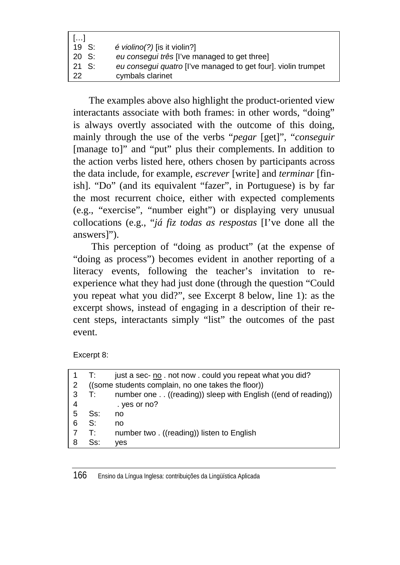| 1. 1             |                                                               |
|------------------|---------------------------------------------------------------|
| 19 S:            | $\acute{e}$ <i>violino(?)</i> [is it violin?]                 |
| 20 S:            | eu consegui três [l've managed to get three]                  |
| $21 \text{ S}$ : | eu consegui quatro [I've managed to get four]. violin trumpet |
| 22               | cymbals clarinet                                              |

The examples above also highlight the product-oriented view interactants associate with both frames: in other words, "doing" is always overtly associated with the outcome of this doing, mainly through the use of the verbs "*pegar* [get]", "*conseguir* [manage to]" and "put" plus their complements. In addition to the action verbs listed here, others chosen by participants across the data include, for example, *escrever* [write] and *terminar* [finish]. "Do" (and its equivalent "fazer", in Portuguese) is by far the most recurrent choice, either with expected complements (e.g., "exercise", "number eight") or displaying very unusual collocations (e.g., "*já fiz todas as respostas* [I've done all the answers]").

 This perception of "doing as product" (at the expense of "doing as process") becomes evident in another reporting of a literacy events, following the teacher's invitation to reexperience what they had just done (through the question "Could you repeat what you did?", see Excerpt 8 below, line 1): as the excerpt shows, instead of engaging in a description of their recent steps, interactants simply "list" the outcomes of the past event.

Excerpt 8:

|   | T:  | just a sec- no . not now . could you repeat what you did?    |
|---|-----|--------------------------------------------------------------|
| 2 |     | ((some students complain, no one takes the floor))           |
| 3 | T:  | number one ((reading)) sleep with English ((end of reading)) |
| 4 |     | . yes or no?                                                 |
| 5 | Ss: | no                                                           |
| 6 | S:  | no                                                           |
|   | T۰  | number two. ((reading)) listen to English                    |
| 8 | Ss: | ves                                                          |
|   |     |                                                              |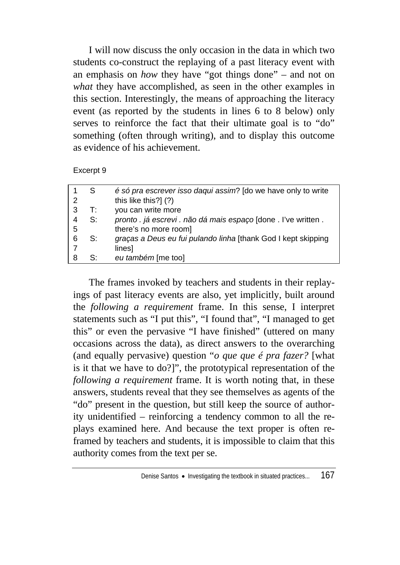I will now discuss the only occasion in the data in which two students co-construct the replaying of a past literacy event with an emphasis on *how* they have "got things done" – and not on *what* they have accomplished, as seen in the other examples in this section. Interestingly, the means of approaching the literacy event (as reported by the students in lines 6 to 8 below) only serves to reinforce the fact that their ultimate goal is to "do" something (often through writing), and to display this outcome as evidence of his achievement.

Excerpt 9

|   | S  | é só pra escrever isso daqui assim? [do we have only to write   |
|---|----|-----------------------------------------------------------------|
| 2 |    | this like this?] (?)                                            |
|   | T: | you can write more                                              |
|   | S: | pronto . já escrevi . não dá mais espaço [done . l've written . |
| 5 |    | there's no more room]                                           |
| 6 | S: | graças a Deus eu fui pulando linha [thank God I kept skipping   |
|   |    | lines]                                                          |
|   | S: | eu também [me too]                                              |

The frames invoked by teachers and students in their replayings of past literacy events are also, yet implicitly, built around the *following a requirement* frame. In this sense, I interpret statements such as "I put this", "I found that", "I managed to get this" or even the pervasive "I have finished" (uttered on many occasions across the data), as direct answers to the overarching (and equally pervasive) question "*o que que é pra fazer?* [what is it that we have to do?]", the prototypical representation of the *following a requirement* frame. It is worth noting that, in these answers, students reveal that they see themselves as agents of the "do" present in the question, but still keep the source of authority unidentified – reinforcing a tendency common to all the replays examined here. And because the text proper is often reframed by teachers and students, it is impossible to claim that this authority comes from the text per se.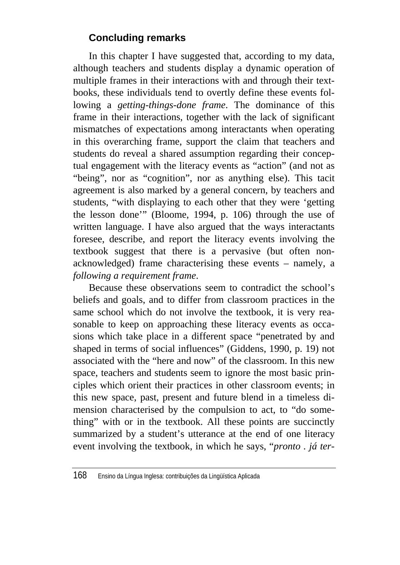# **Concluding remarks**

In this chapter I have suggested that, according to my data, although teachers and students display a dynamic operation of multiple frames in their interactions with and through their textbooks, these individuals tend to overtly define these events following a *getting-things-done frame*. The dominance of this frame in their interactions, together with the lack of significant mismatches of expectations among interactants when operating in this overarching frame, support the claim that teachers and students do reveal a shared assumption regarding their conceptual engagement with the literacy events as "action" (and not as "being", nor as "cognition", nor as anything else). This tacit agreement is also marked by a general concern, by teachers and students, "with displaying to each other that they were 'getting the lesson done'" (Bloome, 1994, p. 106) through the use of written language. I have also argued that the ways interactants foresee, describe, and report the literacy events involving the textbook suggest that there is a pervasive (but often nonacknowledged) frame characterising these events – namely, a *following a requirement frame*.

Because these observations seem to contradict the school's beliefs and goals, and to differ from classroom practices in the same school which do not involve the textbook, it is very reasonable to keep on approaching these literacy events as occasions which take place in a different space "penetrated by and shaped in terms of social influences" (Giddens, 1990, p. 19) not associated with the "here and now" of the classroom. In this new space, teachers and students seem to ignore the most basic principles which orient their practices in other classroom events; in this new space, past, present and future blend in a timeless dimension characterised by the compulsion to act, to "do something" with or in the textbook. All these points are succinctly summarized by a student's utterance at the end of one literacy event involving the textbook, in which he says, "*pronto . já ter-*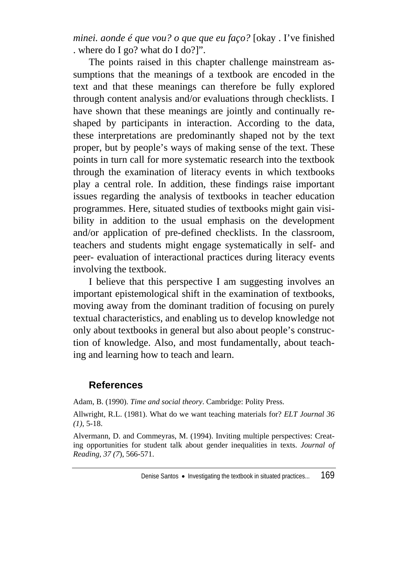*minei. aonde é que vou? o que que eu faço?* [okay . I've finished . where do I go? what do I do?]".

The points raised in this chapter challenge mainstream assumptions that the meanings of a textbook are encoded in the text and that these meanings can therefore be fully explored through content analysis and/or evaluations through checklists. I have shown that these meanings are jointly and continually reshaped by participants in interaction. According to the data, these interpretations are predominantly shaped not by the text proper, but by people's ways of making sense of the text. These points in turn call for more systematic research into the textbook through the examination of literacy events in which textbooks play a central role. In addition, these findings raise important issues regarding the analysis of textbooks in teacher education programmes. Here, situated studies of textbooks might gain visibility in addition to the usual emphasis on the development and/or application of pre-defined checklists. In the classroom, teachers and students might engage systematically in self- and peer- evaluation of interactional practices during literacy events involving the textbook.

I believe that this perspective I am suggesting involves an important epistemological shift in the examination of textbooks, moving away from the dominant tradition of focusing on purely textual characteristics, and enabling us to develop knowledge not only about textbooks in general but also about people's construction of knowledge. Also, and most fundamentally, about teaching and learning how to teach and learn.

### **References**

Adam, B. (1990). *Time and social theory*. Cambridge: Polity Press.

Allwright, R.L. (1981). What do we want teaching materials for? *ELT Journal 36 (1)*, 5-18.

Alvermann, D. and Commeyras, M. (1994). Inviting multiple perspectives: Creating opportunities for student talk about gender inequalities in texts. *Journal of Reading, 37 (7*), 566-571.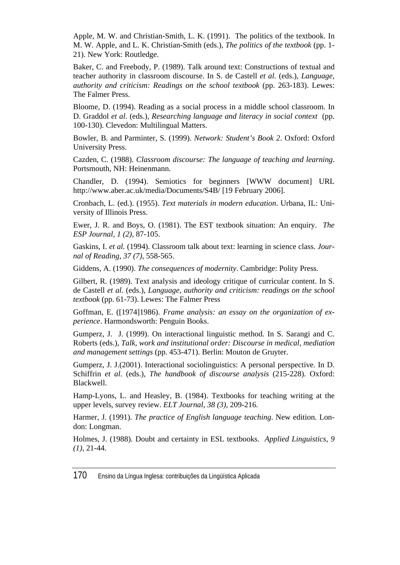Apple, M. W. and Christian-Smith, L. K. (1991). The politics of the textbook. In M. W. Apple, and L. K. Christian-Smith (eds.), *The politics of the textbook* (pp. 1- 21). New York: Routledge.

Baker, C. and Freebody, P. (1989). Talk around text: Constructions of textual and teacher authority in classroom discourse. In S. de Castell *et al.* (eds.), *Language, authority and criticism: Readings on the school textbook* (pp. 263-183). Lewes: The Falmer Press.

Bloome, D. (1994). Reading as a social process in a middle school classroom. In D. Graddol *et al*. (eds.), *Researching language and literacy in social context* (pp. 100-130). Clevedon: Multilingual Matters.

Bowler, B. and Parminter, S. (1999). *Network: Student's Book 2*. Oxford: Oxford University Press.

Cazden, C. (1988). *Classroom discourse: The language of teaching and learning*. Portsmouth, NH: Heinenmann.

Chandler, D. (1994). Semiotics for beginners [WWW document] URL http://www.aber.ac.uk/media/Documents/S4B/ [19 February 2006].

Cronbach, L. (ed.). (1955). *Text materials in modern education*. Urbana, IL: University of Illinois Press.

Ewer, J. R. and Boys, O. (1981). The EST textbook situation: An enquiry. *The ESP Journal, 1 (2)*, 87-105.

Gaskins, I. *et al.* (1994). Classroom talk about text: learning in science class. *Journal of Reading, 37 (7)*, 558-565.

Giddens, A. (1990). *The consequences of modernity*. Cambridge: Polity Press.

Gilbert, R. (1989). Text analysis and ideology critique of curricular content. In S. de Castell *et al*. (eds.)*, Language, authority and criticism: readings on the school textbook* (pp. 61-73). Lewes: The Falmer Press

Goffman, E. ([1974]1986). *Frame analysis: an essay on the organization of experience*. Harmondsworth: Penguin Books.

Gumperz, J. J. (1999). On interactional linguistic method. In S. Sarangi and C. Roberts (eds.), *Talk, work and institutional order: Discourse in medical, mediation and management settings* (pp. 453-471). Berlin: Mouton de Gruyter.

Gumperz, J. J.(2001). Interactional sociolinguistics: A personal perspective. In D. Schiffrin *et al*. (eds.), *The handbook of discourse analysis* (215-228). Oxford: Blackwell.

Hamp-Lyons, L. and Heasley, B. (1984). Textbooks for teaching writing at the upper levels, survey review. *ELT Journal, 38 (3)*, 209-216.

Harmer, J. (1991). *The practice of English language teaching*. New edition. London: Longman.

Holmes, J. (1988). Doubt and certainty in ESL textbooks. *Applied Linguistics, 9 (1),* 21-44.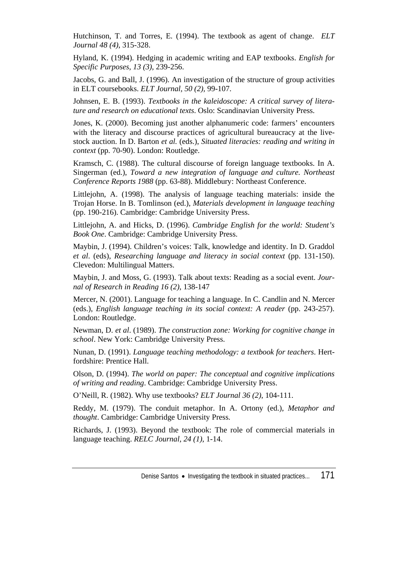Hutchinson, T. and Torres, E. (1994). The textbook as agent of change. *ELT Journal 48 (4)*, 315-328.

Hyland, K. (1994). Hedging in academic writing and EAP textbooks. *English for Specific Purposes, 13 (3)*, 239-256.

Jacobs, G. and Ball, J. (1996). An investigation of the structure of group activities in ELT coursebooks. *ELT Journal, 50 (2),* 99-107.

Johnsen, E. B. (1993). *Textbooks in the kaleidoscope: A critical survey of literature and research on educational texts*. Oslo: Scandinavian University Press.

Jones, K. (2000). Becoming just another alphanumeric code: farmers' encounters with the literacy and discourse practices of agricultural bureaucracy at the livestock auction. In D. Barton *et al.* (eds.), *Situated literacies: reading and writing in context* (pp. 70-90). London: Routledge.

Kramsch, C. (1988). The cultural discourse of foreign language textbooks. In A. Singerman (ed.), *Toward a new integration of language and culture. Northeast Conference Reports 1988* (pp. 63-88). Middlebury: Northeast Conference.

Littlejohn, A. (1998). The analysis of language teaching materials: inside the Trojan Horse. In B. Tomlinson (ed.), *Materials development in language teaching* (pp. 190-216). Cambridge: Cambridge University Press.

Littlejohn, A. and Hicks, D. (1996). *Cambridge English for the world: Student's Book One*. Cambridge: Cambridge University Press.

Maybin, J. (1994). Children's voices: Talk, knowledge and identity. In D. Graddol *et al*. (eds), *Researching language and literacy in social context* (pp. 131-150). Clevedon: Multilingual Matters.

Maybin, J. and Moss, G. (1993). Talk about texts: Reading as a social event. *Journal of Research in Reading 16 (2)*, 138-147

Mercer, N. (2001). Language for teaching a language. In C. Candlin and N. Mercer (eds.), *English language teaching in its social context: A reader* (pp. 243-257). London: Routledge.

Newman, D. *et al*. (1989). *The construction zone: Working for cognitive change in school*. New York: Cambridge University Press.

Nunan, D. (1991). *Language teaching methodology: a textbook for teachers*. Hertfordshire: Prentice Hall.

Olson, D. (1994). *The world on paper: The conceptual and cognitive implications of writing and reading*. Cambridge: Cambridge University Press.

O'Neill, R. (1982). Why use textbooks? *ELT Journal 36 (2)*, 104-111.

Reddy, M. (1979). The conduit metaphor. In A. Ortony (ed.), *Metaphor and thought*. Cambridge: Cambridge University Press.

Richards, J. (1993). Beyond the textbook: The role of commercial materials in language teaching. *RELC Journal, 24 (1)*, 1-14.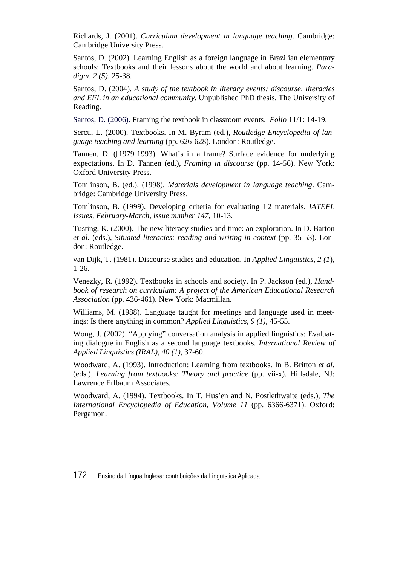Richards, J. (2001). *Curriculum development in language teaching*. Cambridge: Cambridge University Press.

Santos, D. (2002). Learning English as a foreign language in Brazilian elementary schools: Textbooks and their lessons about the world and about learning. *Paradigm, 2 (5)*, 25-38.

Santos, D. (2004). *A study of the textbook in literacy events: discourse, literacies and EFL in an educational community*. Unpublished PhD thesis. The University of Reading.

Santos, D. (2006). Framing the textbook in classroom events. *Folio* 11/1: 14-19.

Sercu, L. (2000). Textbooks. In M. Byram (ed.), *Routledge Encyclopedia of language teaching and learning* (pp. 626-628). London: Routledge.

Tannen, D. ([1979]1993). What's in a frame? Surface evidence for underlying expectations. In D. Tannen (ed.), *Framing in discourse* (pp. 14-56). New York: Oxford University Press.

Tomlinson, B. (ed.). (1998). *Materials development in language teaching*. Cambridge: Cambridge University Press.

Tomlinson, B. (1999). Developing criteria for evaluating L2 materials. *IATEFL Issues, February-March, issue number 147*, 10-13.

Tusting, K. (2000). The new literacy studies and time: an exploration. In D. Barton *et al.* (eds.), *Situated literacies: reading and writing in context* (pp. 35-53). London: Routledge.

van Dijk, T. (1981). Discourse studies and education. In *Applied Linguistics, 2 (1*), 1-26.

Venezky, R. (1992). Textbooks in schools and society. In P. Jackson (ed.), *Handbook of research on curriculum: A project of the American Educational Research Association* (pp. 436-461). New York: Macmillan.

Williams, M. (1988). Language taught for meetings and language used in meetings: Is there anything in common? *Applied Linguistics, 9 (1),* 45-55.

Wong, J. (2002). "Applying" conversation analysis in applied linguistics: Evaluating dialogue in English as a second language textbooks. *International Review of Applied Linguistics (IRAL), 40 (1)*, 37-60.

Woodward, A. (1993). Introduction: Learning from textbooks. In B. Britton *et al.* (eds.), *Learning from textbooks: Theory and practice* (pp. vii-x). Hillsdale, NJ: Lawrence Erlbaum Associates.

Woodward, A. (1994). Textbooks. In T. Hus'en and N. Postlethwaite (eds.), *The International Encyclopedia of Education, Volume 11* (pp. 6366-6371). Oxford: Pergamon.